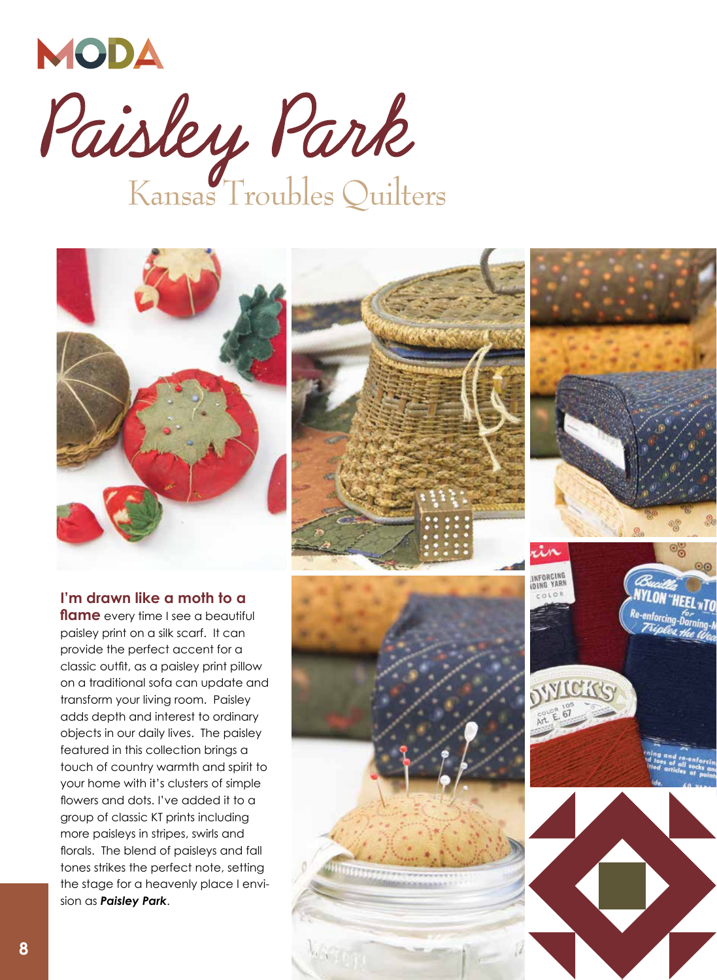







**I'm drawn like a moth to a flame** every time I see a beautiful paisley print on a silk scarf. It can provide the perfect accent for a classic outfit, as a paisley print pillow on a traditional sofa can update and transform your living room. Paisley adds depth and interest to ordinary objects in our daily lives. The paisley featured in this collection brings a touch of country warmth and spirit to your home with it's clusters of simple flowers and dots. I've added it to a group of classic KT prints including more paisleys in stripes, swirls and florals. The blend of paisleys and fall tones strikes the perfect note, setting the stage for a heavenly place I envision as *Paisley Park*.

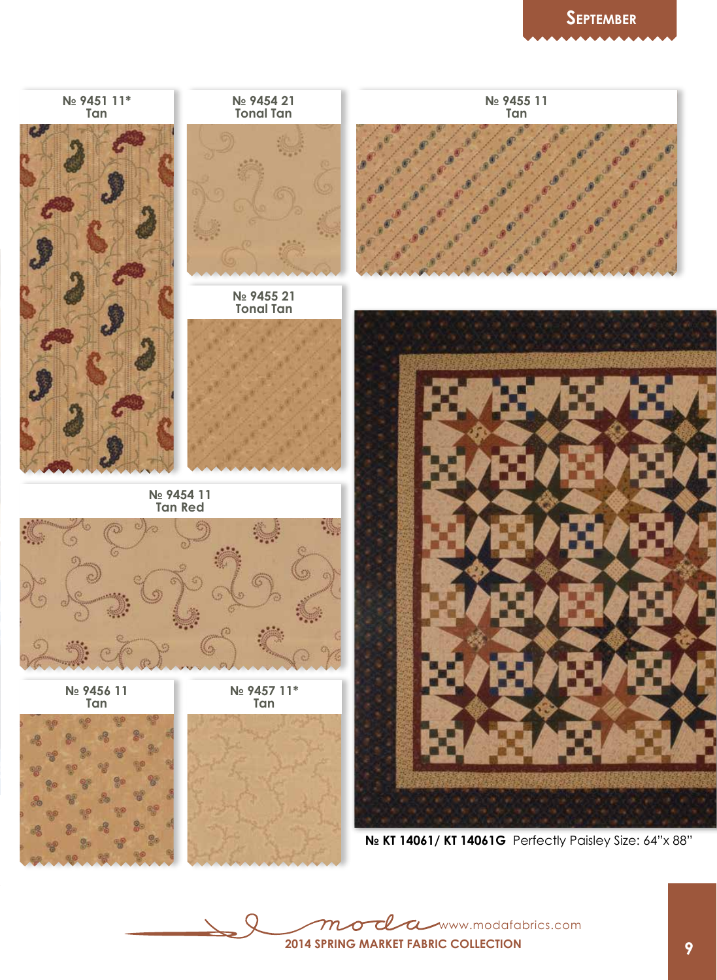

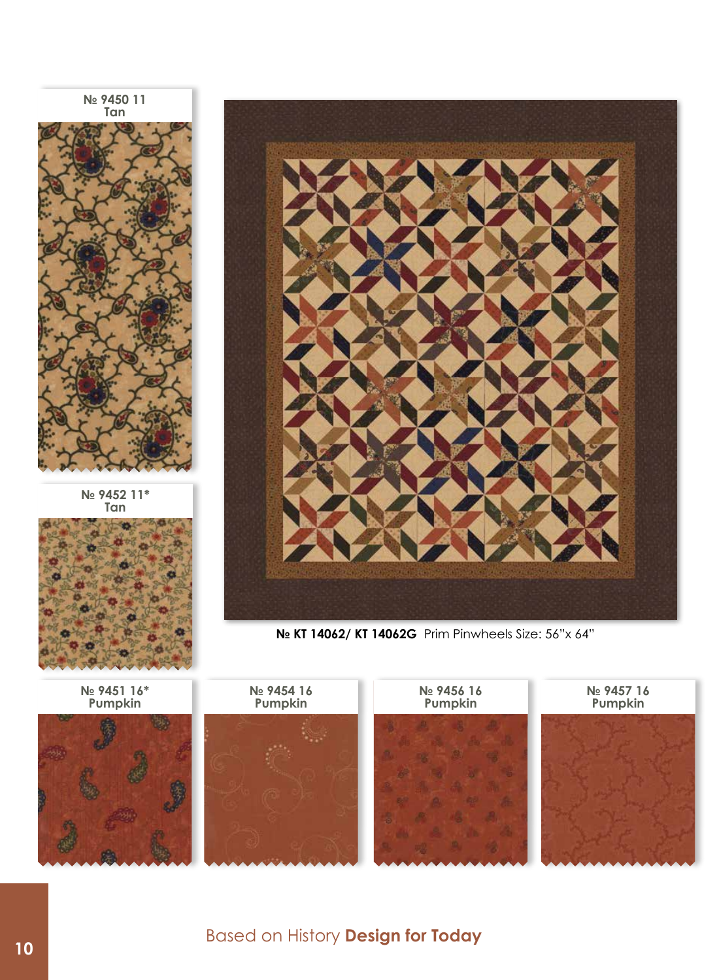**№ 9450 11 Tan**



**№ 9452 11\* Tan**







**№ KT 14062/ KT 14062G** Prim Pinwheels Size: 56"x 64"

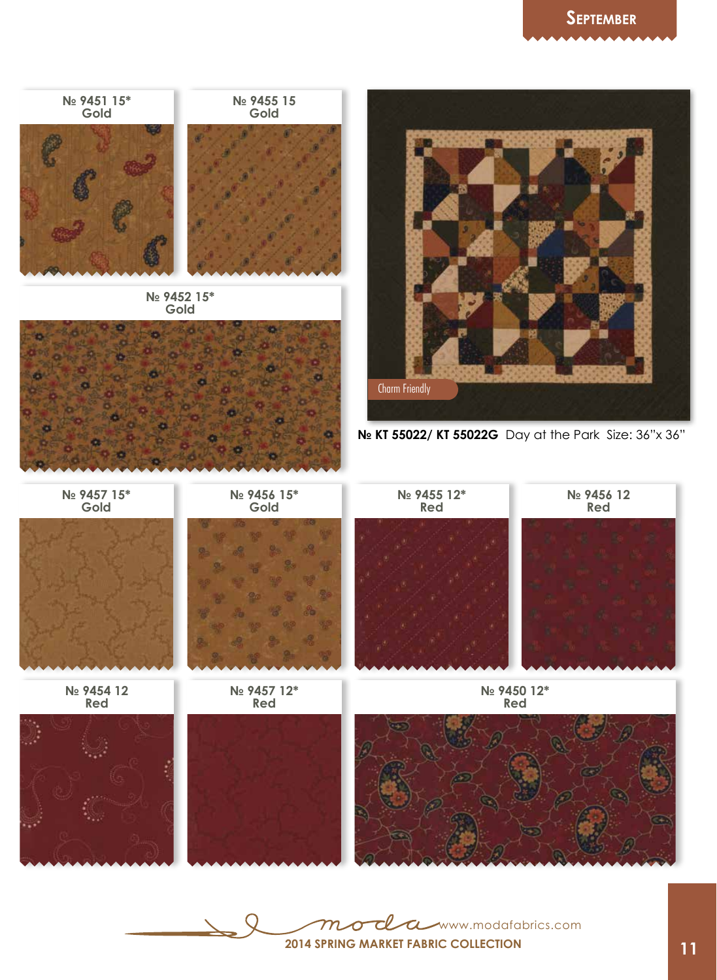

T Www.modafabrics.com  $m \$  $\Omega$ **2014 Spring market Fabric collection**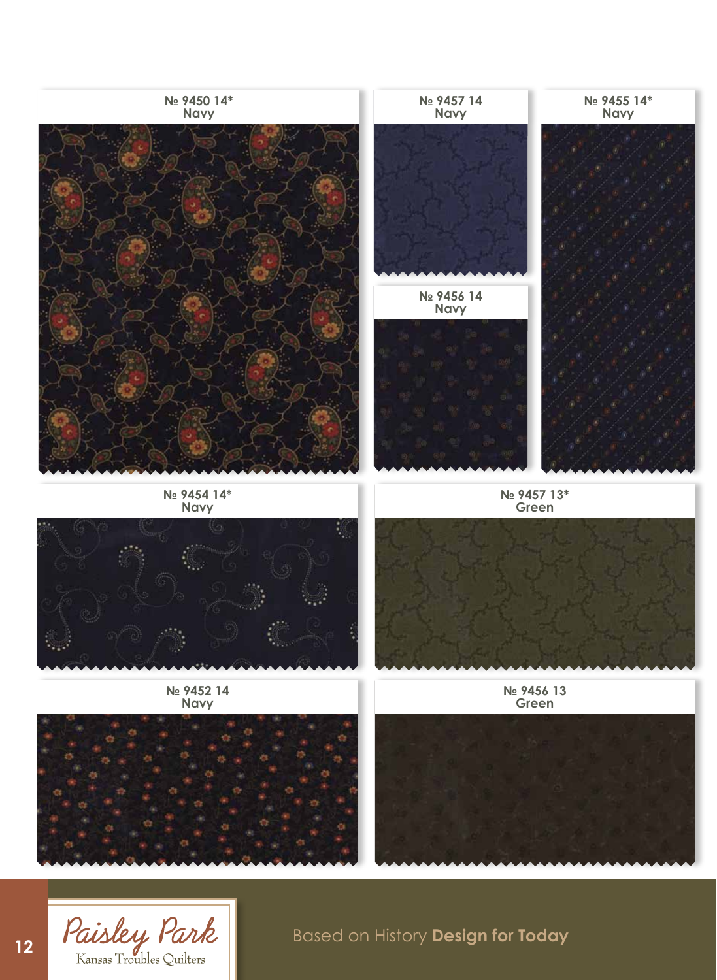